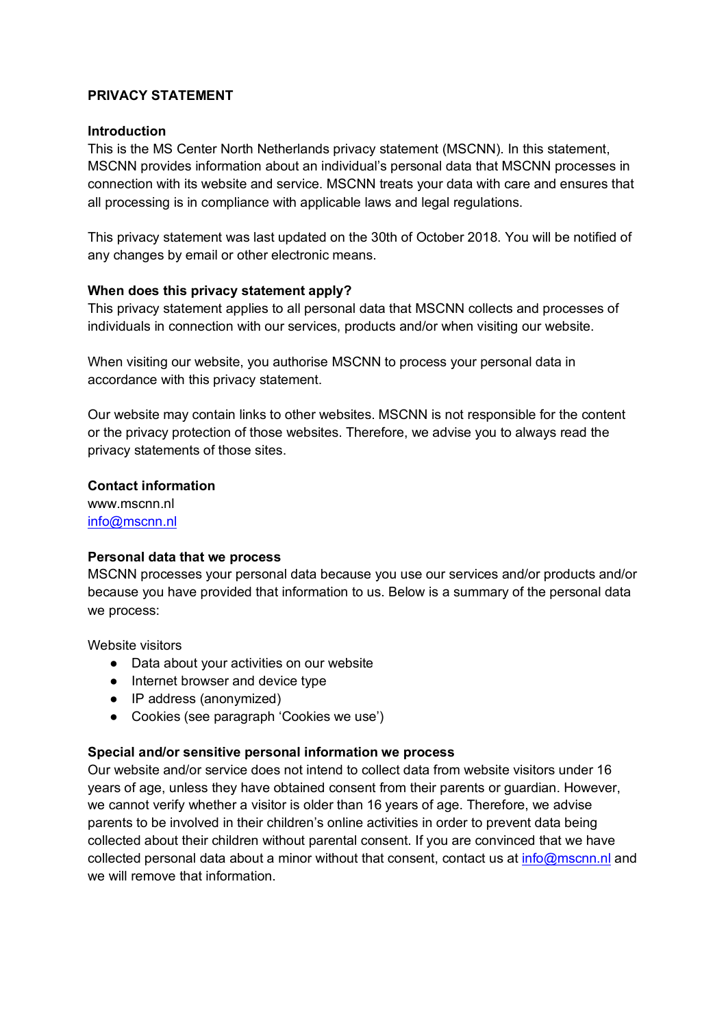# **PRIVACY STATEMENT**

#### **Introduction**

This is the MS Center North Netherlands privacy statement (MSCNN). In this statement, MSCNN provides information about an individual's personal data that MSCNN processes in connection with its website and service. MSCNN treats your data with care and ensures that all processing is in compliance with applicable laws and legal regulations.

This privacy statement was last updated on the 30th of October 2018. You will be notified of any changes by email or other electronic means.

#### **When does this privacy statement apply?**

This privacy statement applies to all personal data that MSCNN collects and processes of individuals in connection with our services, products and/or when visiting our website.

When visiting our website, you authorise MSCNN to process your personal data in accordance with this privacy statement.

Our website may contain links to other websites. MSCNN is not responsible for the content or the privacy protection of those websites. Therefore, we advise you to always read the privacy statements of those sites.

#### **Contact information**

www.mscnn.nl info@mscnn.nl

#### **Personal data that we process**

MSCNN processes your personal data because you use our services and/or products and/or because you have provided that information to us. Below is a summary of the personal data we process:

Website visitors

- Data about your activities on our website
- Internet browser and device type
- IP address (anonymized)
- Cookies (see paragraph 'Cookies we use')

#### **Special and/or sensitive personal information we process**

Our website and/or service does not intend to collect data from website visitors under 16 years of age, unless they have obtained consent from their parents or guardian. However, we cannot verify whether a visitor is older than 16 years of age. Therefore, we advise parents to be involved in their children's online activities in order to prevent data being collected about their children without parental consent. If you are convinced that we have collected personal data about a minor without that consent, contact us at info@mscnn.nl and we will remove that information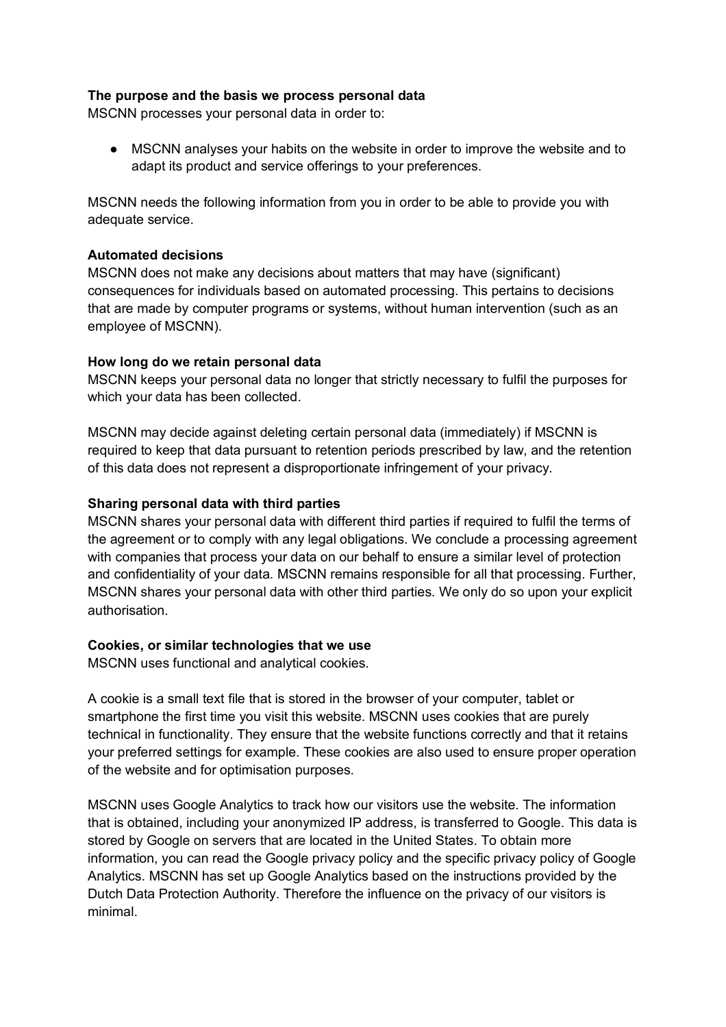#### **The purpose and the basis we process personal data**

MSCNN processes your personal data in order to:

● MSCNN analyses your habits on the website in order to improve the website and to adapt its product and service offerings to your preferences.

MSCNN needs the following information from you in order to be able to provide you with adequate service.

# **Automated decisions**

MSCNN does not make any decisions about matters that may have (significant) consequences for individuals based on automated processing. This pertains to decisions that are made by computer programs or systems, without human intervention (such as an employee of MSCNN).

# **How long do we retain personal data**

MSCNN keeps your personal data no longer that strictly necessary to fulfil the purposes for which your data has been collected.

MSCNN may decide against deleting certain personal data (immediately) if MSCNN is required to keep that data pursuant to retention periods prescribed by law, and the retention of this data does not represent a disproportionate infringement of your privacy.

# **Sharing personal data with third parties**

MSCNN shares your personal data with different third parties if required to fulfil the terms of the agreement or to comply with any legal obligations. We conclude a processing agreement with companies that process your data on our behalf to ensure a similar level of protection and confidentiality of your data. MSCNN remains responsible for all that processing. Further, MSCNN shares your personal data with other third parties. We only do so upon your explicit authorisation.

#### **Cookies, or similar technologies that we use**

MSCNN uses functional and analytical cookies.

A cookie is a small text file that is stored in the browser of your computer, tablet or smartphone the first time you visit this website. MSCNN uses cookies that are purely technical in functionality. They ensure that the website functions correctly and that it retains your preferred settings for example. These cookies are also used to ensure proper operation of the website and for optimisation purposes.

MSCNN uses Google Analytics to track how our visitors use the website. The information that is obtained, including your anonymized IP address, is transferred to Google. This data is stored by Google on servers that are located in the United States. To obtain more information, you can read the Google privacy policy and the specific privacy policy of Google Analytics. MSCNN has set up Google Analytics based on the instructions provided by the Dutch Data Protection Authority. Therefore the influence on the privacy of our visitors is minimal.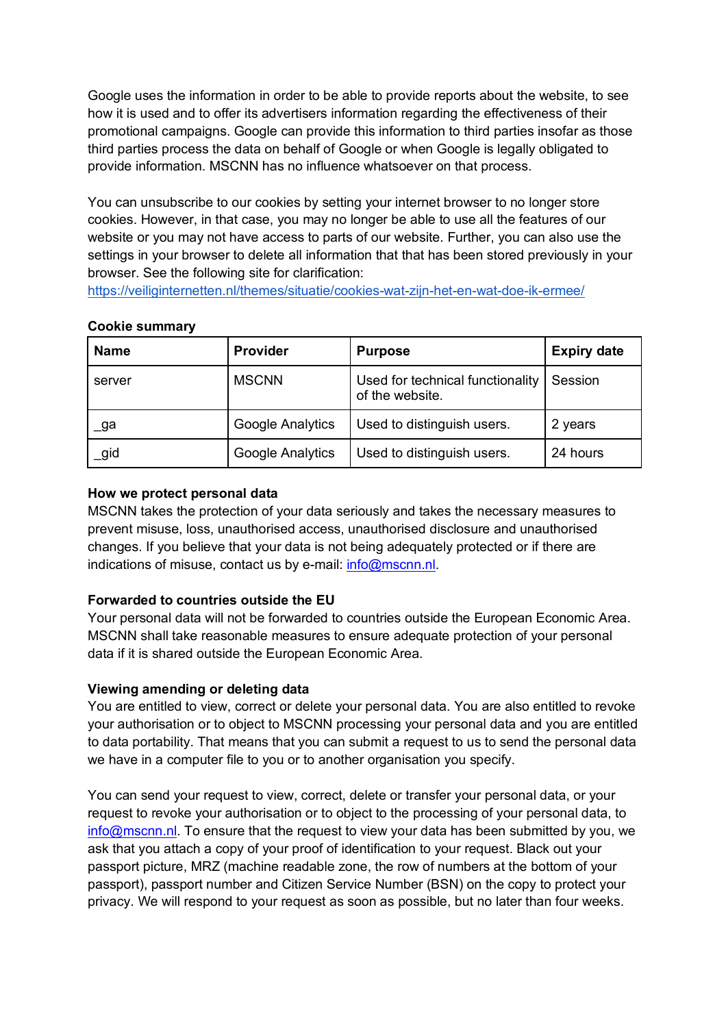Google uses the information in order to be able to provide reports about the website, to see how it is used and to offer its advertisers information regarding the effectiveness of their promotional campaigns. Google can provide this information to third parties insofar as those third parties process the data on behalf of Google or when Google is legally obligated to provide information. MSCNN has no influence whatsoever on that process.

You can unsubscribe to our cookies by setting your internet browser to no longer store cookies. However, in that case, you may no longer be able to use all the features of our website or you may not have access to parts of our website. Further, you can also use the settings in your browser to delete all information that that has been stored previously in your browser. See the following site for clarification:

https://veiliginternetten.nl/themes/situatie/cookies-wat-zijn-het-en-wat-doe-ik-ermee/

# **Cookie summary**

| <b>Name</b> | <b>Provider</b>  | <b>Purpose</b>                                      | <b>Expiry date</b> |
|-------------|------------------|-----------------------------------------------------|--------------------|
| server      | <b>MSCNN</b>     | Used for technical functionality<br>of the website. | Session            |
| _ga         | Google Analytics | Used to distinguish users.                          | 2 years            |
| igid        | Google Analytics | Used to distinguish users.                          | 24 hours           |

# **How we protect personal data**

MSCNN takes the protection of your data seriously and takes the necessary measures to prevent misuse, loss, unauthorised access, unauthorised disclosure and unauthorised changes. If you believe that your data is not being adequately protected or if there are indications of misuse, contact us by e-mail: info@mscnn.nl.

# **Forwarded to countries outside the EU**

Your personal data will not be forwarded to countries outside the European Economic Area. MSCNN shall take reasonable measures to ensure adequate protection of your personal data if it is shared outside the European Economic Area.

# **Viewing amending or deleting data**

You are entitled to view, correct or delete your personal data. You are also entitled to revoke your authorisation or to object to MSCNN processing your personal data and you are entitled to data portability. That means that you can submit a request to us to send the personal data we have in a computer file to you or to another organisation you specify.

You can send your request to view, correct, delete or transfer your personal data, or your request to revoke your authorisation or to object to the processing of your personal data, to info@mscnn.nl. To ensure that the request to view your data has been submitted by you, we ask that you attach a copy of your proof of identification to your request. Black out your passport picture, MRZ (machine readable zone, the row of numbers at the bottom of your passport), passport number and Citizen Service Number (BSN) on the copy to protect your privacy. We will respond to your request as soon as possible, but no later than four weeks.